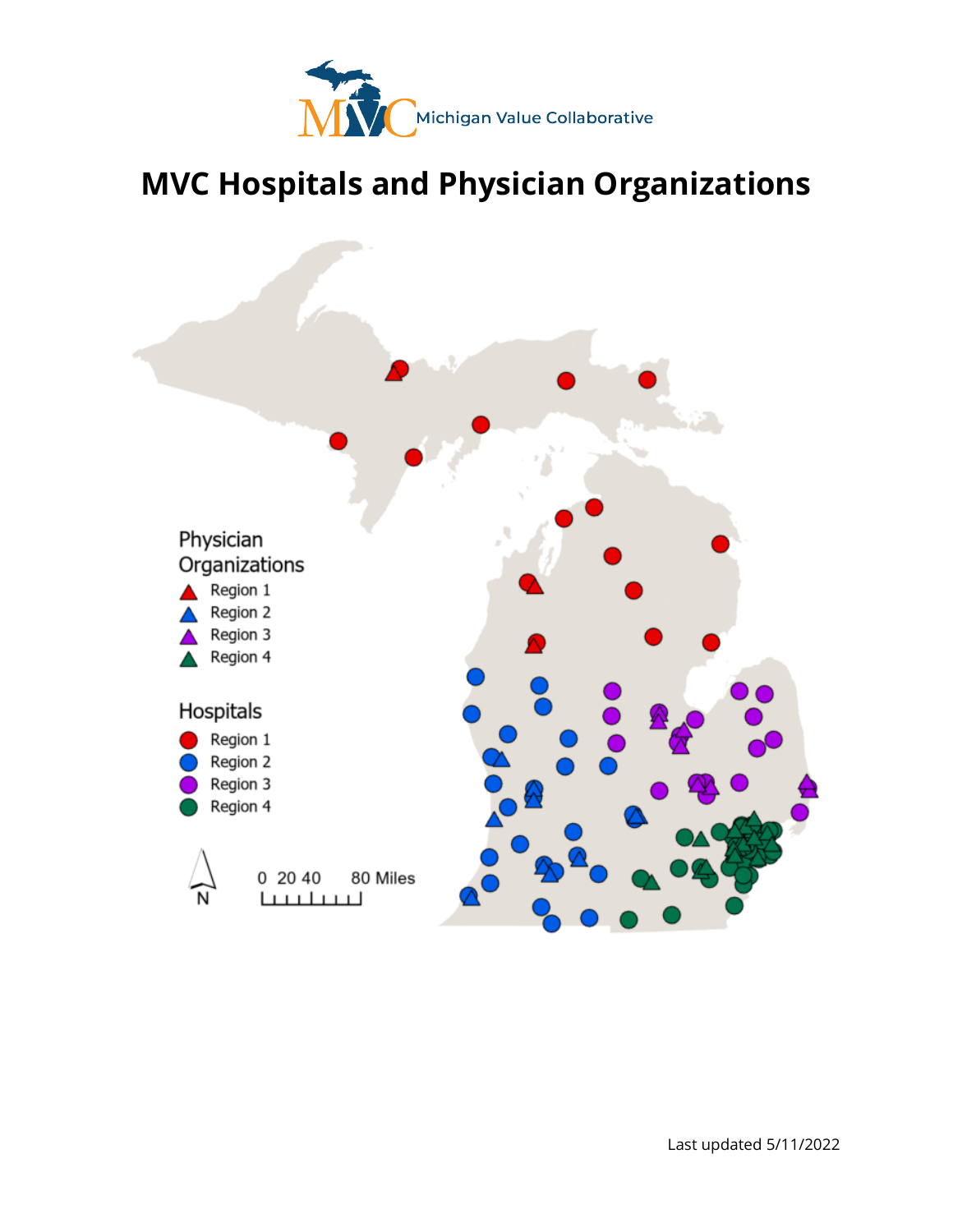

# **MVC Hospitals and Physician Organizations**

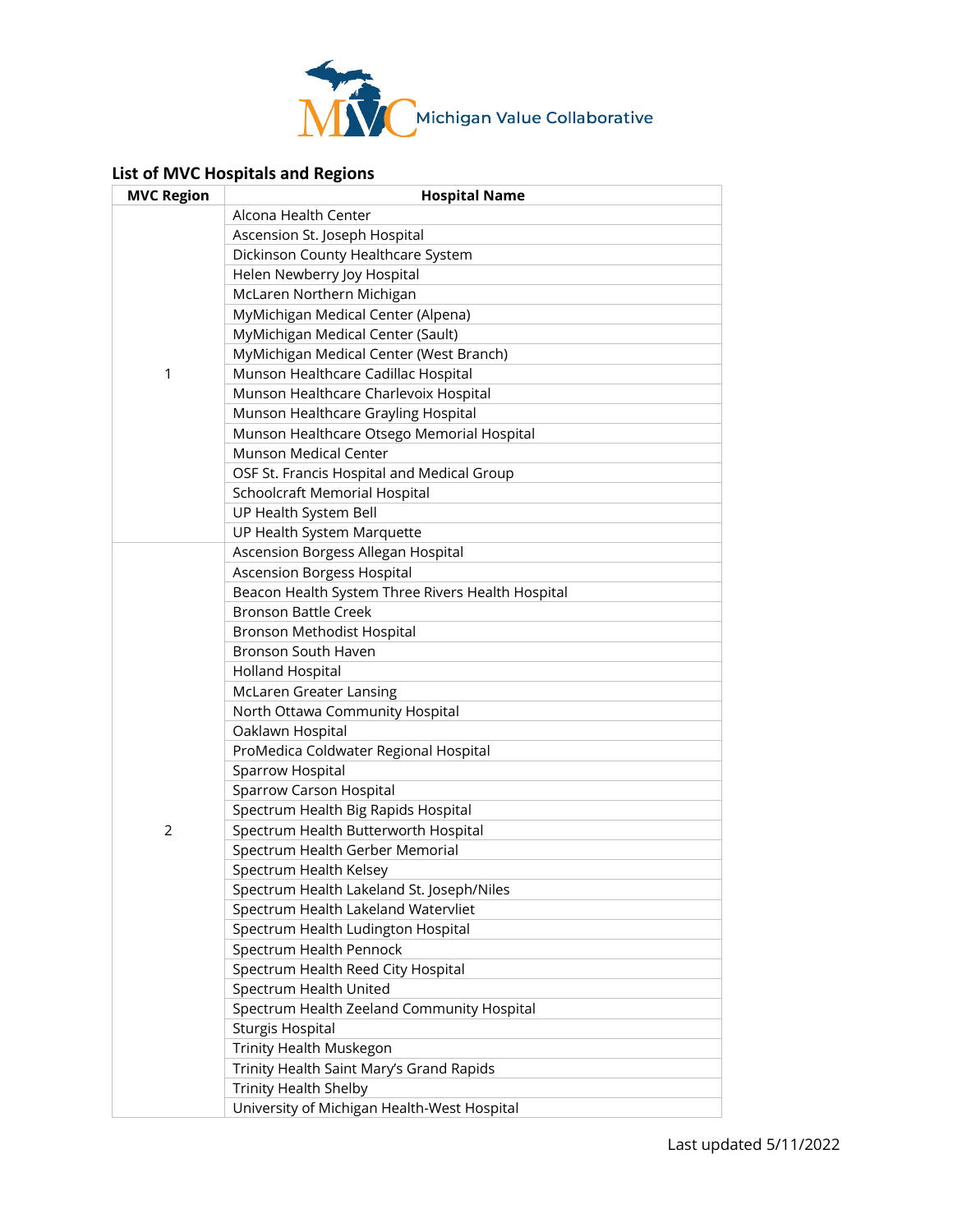

### **List of MVC Hospitals and Regions**

| <b>MVC Region</b> | <b>Hospital Name</b>                              |
|-------------------|---------------------------------------------------|
|                   | Alcona Health Center                              |
|                   | Ascension St. Joseph Hospital                     |
|                   | Dickinson County Healthcare System                |
|                   | Helen Newberry Joy Hospital                       |
|                   | McLaren Northern Michigan                         |
|                   | MyMichigan Medical Center (Alpena)                |
|                   | MyMichigan Medical Center (Sault)                 |
|                   | MyMichigan Medical Center (West Branch)           |
| 1                 | Munson Healthcare Cadillac Hospital               |
|                   | Munson Healthcare Charlevoix Hospital             |
|                   | Munson Healthcare Grayling Hospital               |
|                   | Munson Healthcare Otsego Memorial Hospital        |
|                   | Munson Medical Center                             |
|                   | OSF St. Francis Hospital and Medical Group        |
|                   | Schoolcraft Memorial Hospital                     |
|                   | UP Health System Bell                             |
|                   | UP Health System Marquette                        |
|                   | Ascension Borgess Allegan Hospital                |
|                   | <b>Ascension Borgess Hospital</b>                 |
|                   | Beacon Health System Three Rivers Health Hospital |
|                   | <b>Bronson Battle Creek</b>                       |
|                   | Bronson Methodist Hospital                        |
|                   | Bronson South Haven                               |
|                   | <b>Holland Hospital</b>                           |
|                   | <b>McLaren Greater Lansing</b>                    |
|                   | North Ottawa Community Hospital                   |
|                   | Oaklawn Hospital                                  |
|                   | ProMedica Coldwater Regional Hospital             |
|                   | Sparrow Hospital                                  |
| $\overline{2}$    | Sparrow Carson Hospital                           |
|                   | Spectrum Health Big Rapids Hospital               |
|                   | Spectrum Health Butterworth Hospital              |
|                   | Spectrum Health Gerber Memorial                   |
|                   | Spectrum Health Kelsey                            |
|                   | Spectrum Health Lakeland St. Joseph/Niles         |
|                   | Spectrum Health Lakeland Watervliet               |
|                   | Spectrum Health Ludington Hospital                |
|                   | Spectrum Health Pennock                           |
|                   | Spectrum Health Reed City Hospital                |
|                   | Spectrum Health United                            |
|                   | Spectrum Health Zeeland Community Hospital        |
|                   | <b>Sturgis Hospital</b>                           |
|                   | Trinity Health Muskegon                           |
|                   | Trinity Health Saint Mary's Grand Rapids          |
|                   | <b>Trinity Health Shelby</b>                      |
|                   | University of Michigan Health-West Hospital       |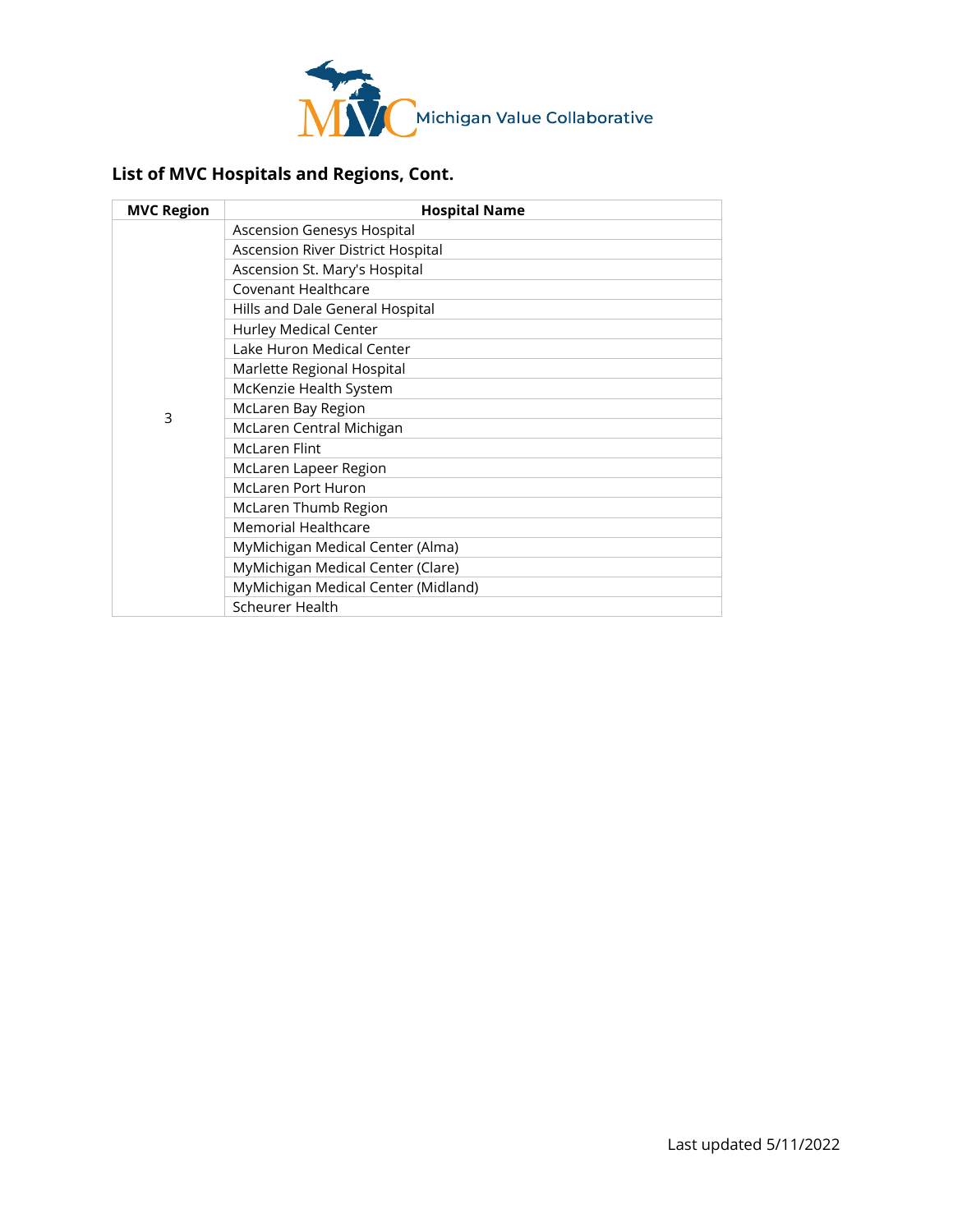

## **List of MVC Hospitals and Regions, Cont.**

| <b>MVC Region</b> | <b>Hospital Name</b>                |
|-------------------|-------------------------------------|
| 3                 | Ascension Genesys Hospital          |
|                   | Ascension River District Hospital   |
|                   | Ascension St. Mary's Hospital       |
|                   | Covenant Healthcare                 |
|                   | Hills and Dale General Hospital     |
|                   | <b>Hurley Medical Center</b>        |
|                   | Lake Huron Medical Center           |
|                   | Marlette Regional Hospital          |
|                   | McKenzie Health System              |
|                   | McLaren Bay Region                  |
|                   | McLaren Central Michigan            |
|                   | <b>McLaren Flint</b>                |
|                   | McLaren Lapeer Region               |
|                   | <b>McLaren Port Huron</b>           |
|                   | McLaren Thumb Region                |
|                   | <b>Memorial Healthcare</b>          |
|                   | MyMichigan Medical Center (Alma)    |
|                   | MyMichigan Medical Center (Clare)   |
|                   | MyMichigan Medical Center (Midland) |
|                   | <b>Scheurer Health</b>              |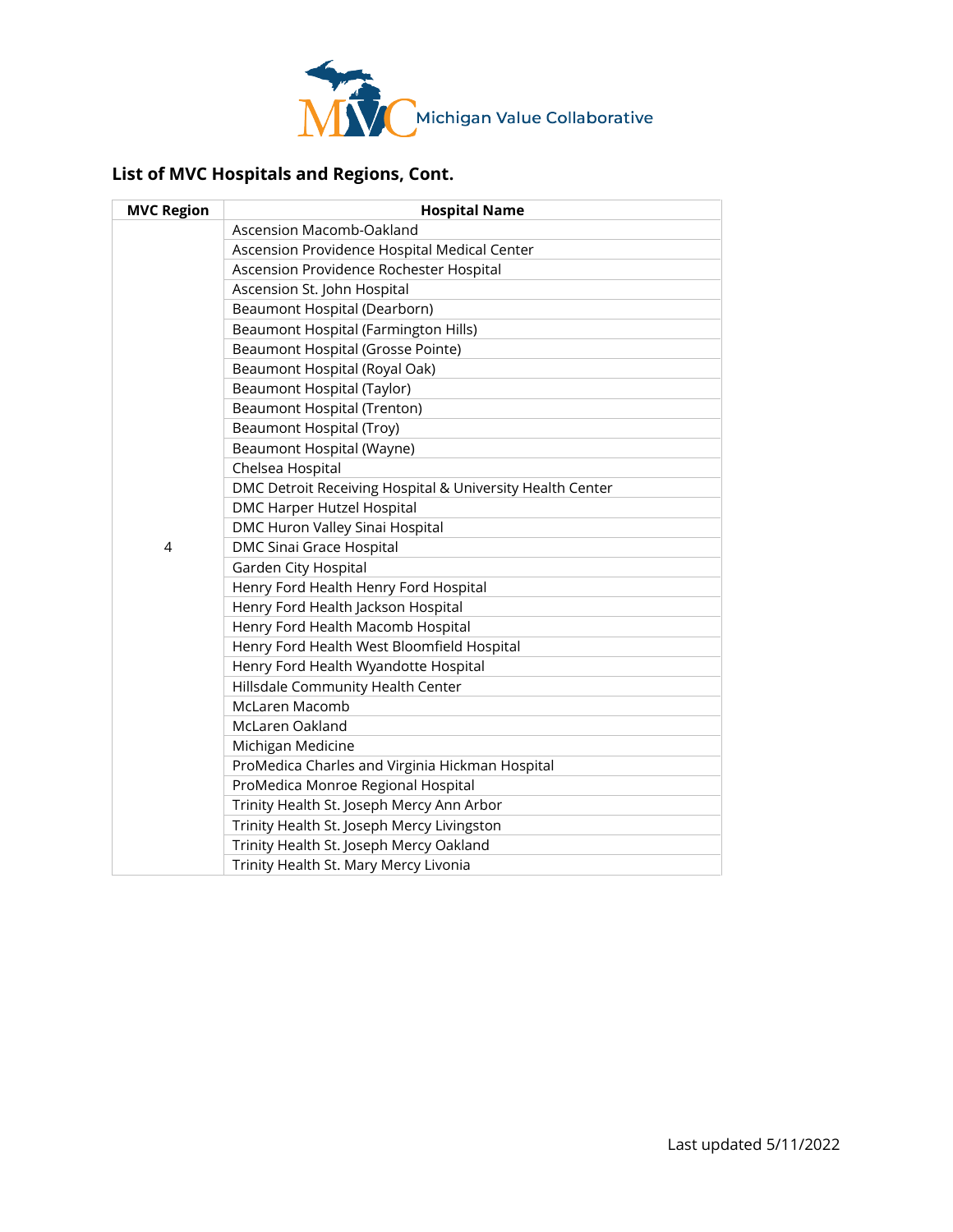

## **List of MVC Hospitals and Regions, Cont.**

| <b>MVC Region</b> | <b>Hospital Name</b>                                      |
|-------------------|-----------------------------------------------------------|
|                   | Ascension Macomb-Oakland                                  |
|                   | Ascension Providence Hospital Medical Center              |
|                   | Ascension Providence Rochester Hospital                   |
|                   | Ascension St. John Hospital                               |
|                   | Beaumont Hospital (Dearborn)                              |
|                   | Beaumont Hospital (Farmington Hills)                      |
|                   | Beaumont Hospital (Grosse Pointe)                         |
|                   | Beaumont Hospital (Royal Oak)                             |
|                   | Beaumont Hospital (Taylor)                                |
|                   | <b>Beaumont Hospital (Trenton)</b>                        |
|                   | Beaumont Hospital (Troy)                                  |
|                   | Beaumont Hospital (Wayne)                                 |
|                   | Chelsea Hospital                                          |
|                   | DMC Detroit Receiving Hospital & University Health Center |
|                   | DMC Harper Hutzel Hospital                                |
|                   | DMC Huron Valley Sinai Hospital                           |
| 4                 | DMC Sinai Grace Hospital                                  |
|                   | Garden City Hospital                                      |
|                   | Henry Ford Health Henry Ford Hospital                     |
|                   | Henry Ford Health Jackson Hospital                        |
|                   | Henry Ford Health Macomb Hospital                         |
|                   | Henry Ford Health West Bloomfield Hospital                |
|                   | Henry Ford Health Wyandotte Hospital                      |
|                   | Hillsdale Community Health Center                         |
|                   | McLaren Macomb                                            |
|                   | McLaren Oakland                                           |
|                   | Michigan Medicine                                         |
|                   | ProMedica Charles and Virginia Hickman Hospital           |
|                   | ProMedica Monroe Regional Hospital                        |
|                   | Trinity Health St. Joseph Mercy Ann Arbor                 |
|                   | Trinity Health St. Joseph Mercy Livingston                |
|                   | Trinity Health St. Joseph Mercy Oakland                   |
|                   | Trinity Health St. Mary Mercy Livonia                     |